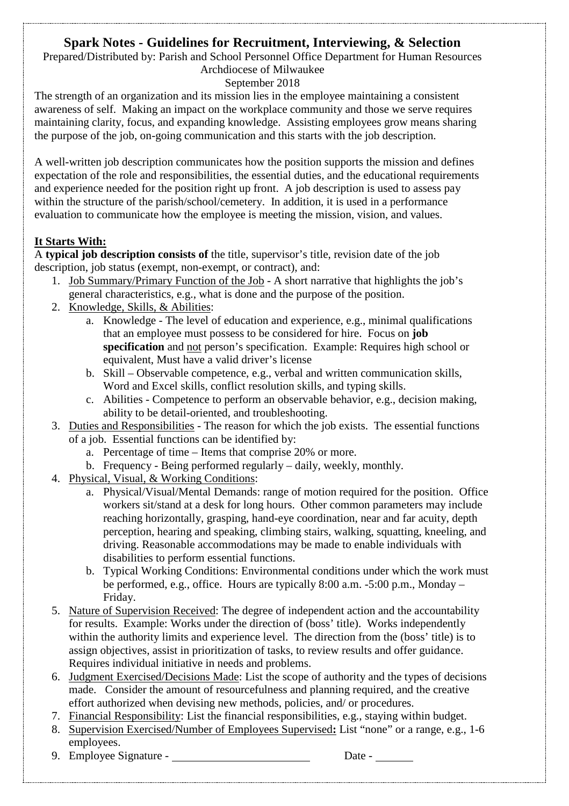# **Spark Notes - Guidelines for Recruitment, Interviewing, & Selection**

Prepared/Distributed by: Parish and School Personnel Office Department for Human Resources Archdiocese of Milwaukee

# September 2018

The strength of an organization and its mission lies in the employee maintaining a consistent awareness of self. Making an impact on the workplace community and those we serve requires maintaining clarity, focus, and expanding knowledge. Assisting employees grow means sharing the purpose of the job, on-going communication and this starts with the job description.

A well-written job description communicates how the position supports the mission and defines expectation of the role and responsibilities, the essential duties, and the educational requirements and experience needed for the position right up front. A job description is used to assess pay within the structure of the parish/school/cemetery. In addition, it is used in a performance evaluation to communicate how the employee is meeting the mission, vision, and values.

# **It Starts With:**

A **typical job description consists of** the title, supervisor's title, revision date of the job description, job status (exempt, non-exempt, or contract), and:

- 1. Job Summary/Primary Function of the Job A short narrative that highlights the job's general characteristics, e.g., what is done and the purpose of the position.
- 2. Knowledge, Skills, & Abilities:
	- a. Knowledge The level of education and experience, e.g., minimal qualifications that an employee must possess to be considered for hire. Focus on **job specification** and not person's specification. Example: Requires high school or equivalent, Must have a valid driver's license
	- b. Skill Observable competence, e.g., verbal and written communication skills, Word and Excel skills, conflict resolution skills, and typing skills.
	- c. Abilities Competence to perform an observable behavior, e.g., decision making, ability to be detail-oriented, and troubleshooting.
- 3. Duties and Responsibilities The reason for which the job exists. The essential functions of a job. Essential functions can be identified by:
	- a. Percentage of time Items that comprise 20% or more.
	- b. Frequency Being performed regularly daily, weekly, monthly.
- 4. Physical, Visual, & Working Conditions:
	- a. Physical/Visual/Mental Demands: range of motion required for the position. Office workers sit/stand at a desk for long hours. Other common parameters may include reaching horizontally, grasping, hand-eye coordination, near and far acuity, depth perception, hearing and speaking, climbing stairs, walking, squatting, kneeling, and driving. Reasonable accommodations may be made to enable individuals with disabilities to perform essential functions.
	- b. Typical Working Conditions: Environmental conditions under which the work must be performed, e.g., office. Hours are typically 8:00 a.m. -5:00 p.m., Monday – Friday.
- 5. Nature of Supervision Received: The degree of independent action and the accountability for results. Example: Works under the direction of (boss' title). Works independently within the authority limits and experience level. The direction from the (boss' title) is to assign objectives, assist in prioritization of tasks, to review results and offer guidance. Requires individual initiative in needs and problems.
- 6. Judgment Exercised/Decisions Made: List the scope of authority and the types of decisions made. Consider the amount of resourcefulness and planning required, and the creative effort authorized when devising new methods, policies, and/ or procedures.
- 7. Financial Responsibility: List the financial responsibilities, e.g., staying within budget.
- 8. Supervision Exercised/Number of Employees Supervised**:** List "none" or a range, e.g., 1-6 employees.
- 9. Employee Signature Date -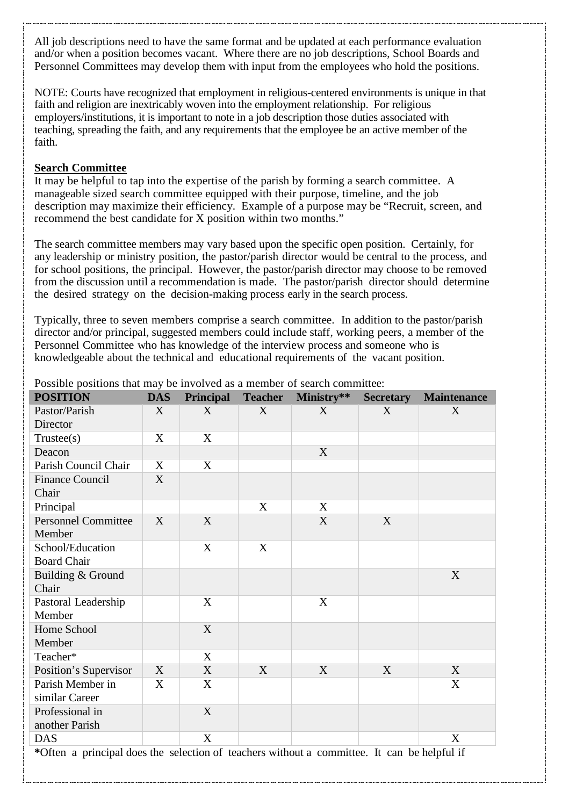All job descriptions need to have the same format and be updated at each performance evaluation and/or when a position becomes vacant. Where there are no job descriptions, School Boards and Personnel Committees may develop them with input from the employees who hold the positions.

NOTE: Courts have recognized that employment in religious-centered environments is unique in that faith and religion are inextricably woven into the employment relationship. For religious employers/institutions, it is important to note in a job description those duties associated with teaching, spreading the faith, and any requirements that the employee be an active member of the faith.

#### **Search Committee**

It may be helpful to tap into the expertise of the parish by forming a search committee. A manageable sized search committee equipped with their purpose, timeline, and the job description may maximize their efficiency. Example of a purpose may be "Recruit, screen, and recommend the best candidate for X position within two months."

The search committee members may vary based upon the specific open position. Certainly, for any leadership or ministry position, the pastor/parish director would be central to the process, and for school positions, the principal. However, the pastor/parish director may choose to be removed from the discussion until a recommendation is made. The pastor/parish director should determine the desired strategy on the decision-making process early in the search process.

Typically, three to seven members comprise a search committee. In addition to the pastor/parish director and/or principal, suggested members could include staff, working peers, a member of the Personnel Committee who has knowledge of the interview process and someone who is knowledgeable about the technical and educational requirements of the vacant position.

| <b>POSITION</b>                                                                             | <b>DAS</b> | <b>Principal</b> | <b>Teacher</b> | Ministry** | <b>Secretary</b> | <b>Maintenance</b> |
|---------------------------------------------------------------------------------------------|------------|------------------|----------------|------------|------------------|--------------------|
| Pastor/Parish                                                                               | X          | X                | X              | X          | X                | X                  |
| Director                                                                                    |            |                  |                |            |                  |                    |
| Trustee(s)                                                                                  | X          | X                |                |            |                  |                    |
| Deacon                                                                                      |            |                  |                | X          |                  |                    |
| Parish Council Chair                                                                        | X          | $\mathbf X$      |                |            |                  |                    |
| <b>Finance Council</b>                                                                      | X          |                  |                |            |                  |                    |
| Chair                                                                                       |            |                  |                |            |                  |                    |
| Principal                                                                                   |            |                  | X              | X          |                  |                    |
| <b>Personnel Committee</b>                                                                  | X          | X                |                | X          | X                |                    |
| Member                                                                                      |            |                  |                |            |                  |                    |
| School/Education                                                                            |            | X                | X              |            |                  |                    |
| <b>Board Chair</b>                                                                          |            |                  |                |            |                  |                    |
| Building & Ground                                                                           |            |                  |                |            |                  | X                  |
| Chair                                                                                       |            |                  |                |            |                  |                    |
| Pastoral Leadership                                                                         |            | X                |                | X          |                  |                    |
| Member                                                                                      |            |                  |                |            |                  |                    |
| Home School                                                                                 |            | X                |                |            |                  |                    |
| Member                                                                                      |            |                  |                |            |                  |                    |
| Teacher*                                                                                    |            | X                |                |            |                  |                    |
| Position's Supervisor                                                                       | X          | X                | X              | X          | X                | X                  |
| Parish Member in                                                                            | X          | X                |                |            |                  | X                  |
| similar Career                                                                              |            |                  |                |            |                  |                    |
| Professional in                                                                             |            | X                |                |            |                  |                    |
| another Parish                                                                              |            |                  |                |            |                  |                    |
| <b>DAS</b>                                                                                  |            | X                |                |            |                  | X                  |
| *Often a principal does the selection of teachers without a committee. It can be helpful if |            |                  |                |            |                  |                    |

Possible positions that may be involved as a member of search committee: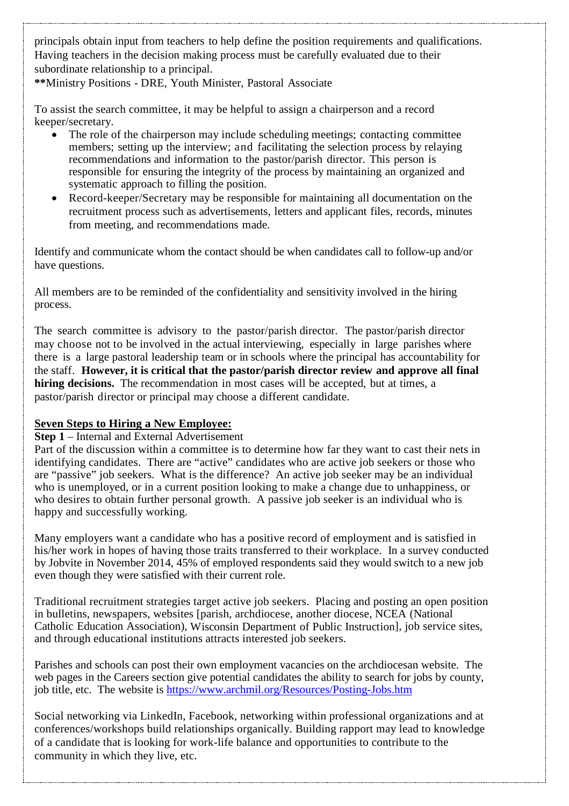principals obtain input from teachers to help define the position requirements and qualifications. Having teachers in the decision making process must be carefully evaluated due to their subordinate relationship to a principal.

**\*\***Ministry Positions - DRE, Youth Minister, Pastoral Associate

To assist the search committee, it may be helpful to assign a chairperson and a record keeper/secretary.

- The role of the chairperson may include scheduling meetings; contacting committee members; setting up the interview; and facilitating the selection process by relaying recommendations and information to the pastor/parish director. This person is responsible for ensuring the integrity of the process by maintaining an organized and systematic approach to filling the position.
- Record-keeper/Secretary may be responsible for maintaining all documentation on the recruitment process such as advertisements, letters and applicant files, records, minutes from meeting, and recommendations made.

Identify and communicate whom the contact should be when candidates call to follow-up and/or have questions.

All members are to be reminded of the confidentiality and sensitivity involved in the hiring process.

The search committee is advisory to the pastor/parish director. The pastor/parish director may choose not to be involved in the actual interviewing, especially in large parishes where there is a large pastoral leadership team or in schools where the principal has accountability for the staff. **However, it is critical that the pastor/parish director review and approve all final hiring decisions.** The recommendation in most cases will be accepted, but at times, a pastor/parish director or principal may choose a different candidate.

# **Seven Steps to Hiring a New Employee:**

## **Step 1** – Internal and External Advertisement

Part of the discussion within a committee is to determine how far they want to cast their nets in identifying candidates. There are "active" candidates who are active job seekers or those who are "passive" job seekers. What is the difference? An active job seeker may be an individual who is unemployed, or in a current position looking to make a change due to unhappiness, or who desires to obtain further personal growth. A passive job seeker is an individual who is happy and successfully working.

Many employers want a candidate who has a positive record of employment and is satisfied in his/her work in hopes of having those traits transferred to their workplace. In a survey conducted by [Jobvite](http://www.jobvite.com/) in November 2014, 45% of employed respondents said they would switch to a new job even though they were satisfied with their current role.

Traditional recruitment strategies target active job seekers. Placing and posting an open position in bulletins, newspapers, websites [parish, archdiocese, another diocese, NCEA (National Catholic Education Association), Wisconsin Department of Public Instruction], job service sites, and through educational institutions attracts interested job seekers.

Parishes and schools can post their own employment vacancies on the archdiocesan website. The web pages in the Careers section give potential candidates the ability to search for jobs by county, job title, etc. The website is<https://www.archmil.org/Resources/Posting-Jobs.htm>

Social networking via LinkedIn, Facebook, networking within professional organizations and at conferences/workshops build relationships organically. Building rapport may lead to knowledge of a candidate that is looking for work-life balance and opportunities to contribute to the community in which they live, etc.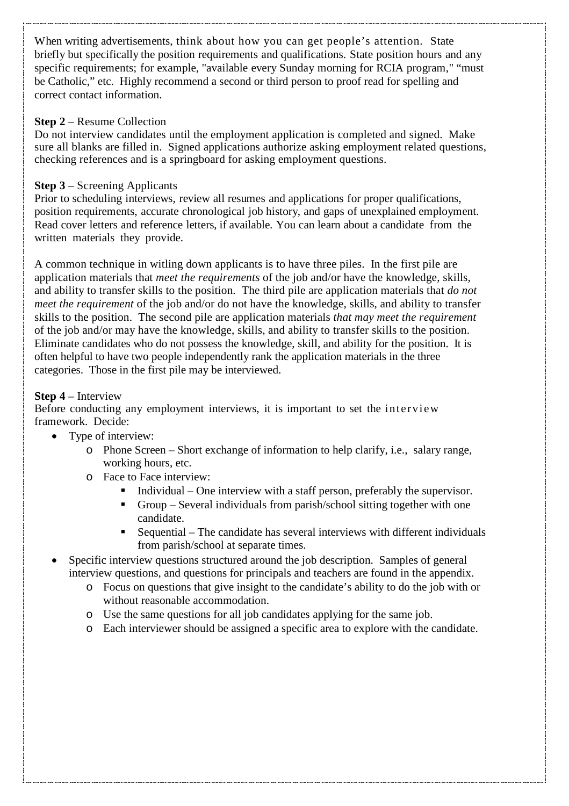When writing advertisements, think about how you can get people's attention. State briefly but specifically the position requirements and qualifications. State position hours and any specific requirements; for example, "available every Sunday morning for RCIA program," "must be Catholic," etc. Highly recommend a second or third person to proof read for spelling and correct contact information.

## **Step 2** – Resume Collection

Do not interview candidates until the employment application is completed and signed. Make sure all blanks are filled in. Signed applications authorize asking employment related questions, checking references and is a springboard for asking employment questions.

## **Step 3** – Screening Applicants

Prior to scheduling interviews, review all resumes and applications for proper qualifications, position requirements, accurate chronological job history, and gaps of unexplained employment. Read cover letters and reference letters, if available. You can learn about a candidate from the written materials they provide.

A common technique in witling down applicants is to have three piles. In the first pile are application materials that *meet the requirements* of the job and/or have the knowledge, skills, and ability to transfer skills to the position. The third pile are application materials that *do not meet the requirement* of the job and/or do not have the knowledge, skills, and ability to transfer skills to the position. The second pile are application materials *that may meet the requirement*  of the job and/or may have the knowledge, skills, and ability to transfer skills to the position. Eliminate candidates who do not possess the knowledge, skill, and ability for the position. It is often helpful to have two people independently rank the application materials in the three categories. Those in the first pile may be interviewed.

## **Step 4** – Interview

Before conducting any employment interviews, it is important to set the interview framework. Decide:

- Type of interview:
	- o Phone Screen Short exchange of information to help clarify, i.e., salary range, working hours, etc.
	- o Face to Face interview:
		- Individual One interview with a staff person, preferably the supervisor.
		- Group Several individuals from parish/school sitting together with one candidate.
		- Sequential The candidate has several interviews with different individuals from parish/school at separate times.
- Specific interview questions structured around the job description. Samples of general interview questions, and questions for principals and teachers are found in the appendix.
	- o Focus on questions that give insight to the candidate's ability to do the job with or without reasonable accommodation.
	- o Use the same questions for all job candidates applying for the same job.
	- o Each interviewer should be assigned a specific area to explore with the candidate.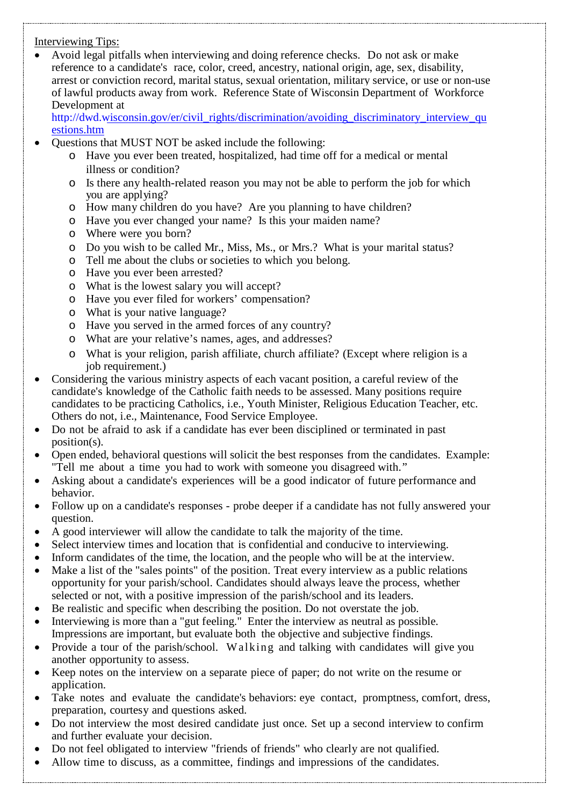## Interviewing Tips:

• Avoid legal pitfalls when interviewing and doing reference checks. Do not ask or make reference to a candidate's race, color, creed, ancestry, national origin, age, sex, disability, arrest or conviction record, marital status, sexual orientation, military service, or use or non-use of lawful products away from work. Reference State of Wisconsin Department of Workforce Development at

[http://dwd.wisconsin.gov/er/civil\\_rights/discrimination/avoiding\\_discriminatory\\_interview\\_qu](http://dwd.wisconsin.gov/er/civil_rights/discrimination/avoiding_discriminatory_interview_questions.htm) [estions.htm](http://dwd.wisconsin.gov/er/civil_rights/discrimination/avoiding_discriminatory_interview_questions.htm)

- Questions that MUST NOT be asked include the following:
	- o Have you ever been treated, hospitalized, had time off for a medical or mental illness or condition?
	- o Is there any health-related reason you may not be able to perform the job for which you are applying?
	- o How many children do you have? Are you planning to have children?
	- o Have you ever changed your name? Is this your maiden name?
	- o Where were you born?
	- o Do you wish to be called Mr., Miss, Ms., or Mrs.? What is your marital status?
	- o Tell me about the clubs or societies to which you belong.
	- o Have you ever been arrested?
	- o What is the lowest salary you will accept?
	- o Have you ever filed for workers' compensation?
	- o What is your native language?
	- o Have you served in the armed forces of any country?
	- o What are your relative's names, ages, and addresses?
	- o What is your religion, parish affiliate, church affiliate? (Except where religion is a job requirement.)
- Considering the various ministry aspects of each vacant position, a careful review of the candidate's knowledge of the Catholic faith needs to be assessed. Many positions require candidates to be practicing Catholics, i.e., Youth Minister, Religious Education Teacher, etc. Others do not, i.e., Maintenance, Food Service Employee.
- Do not be afraid to ask if a candidate has ever been disciplined or terminated in past position(s).
- Open ended, behavioral questions will solicit the best responses from the candidates. Example: "Tell me about a time you had to work with someone you disagreed with."
- Asking about a candidate's experiences will be a good indicator of future performance and behavior.
- Follow up on a candidate's responses probe deeper if a candidate has not fully answered your question.
- A good interviewer will allow the candidate to talk the majority of the time.
- Select interview times and location that is confidential and conducive to interviewing.
- Inform candidates of the time, the location, and the people who will be at the interview.
- Make a list of the "sales points" of the position. Treat every interview as a public relations opportunity for your parish/school. Candidates should always leave the process, whether selected or not, with a positive impression of the parish/school and its leaders.
- Be realistic and specific when describing the position. Do not overstate the job.
- Interviewing is more than a "gut feeling." Enter the interview as neutral as possible. Impressions are important, but evaluate both the objective and subjective findings.
- Provide a tour of the parish/school. Walking and talking with candidates will give you another opportunity to assess.
- Keep notes on the interview on a separate piece of paper; do not write on the resume or application.
- Take notes and evaluate the candidate's behaviors: eye contact, promptness, comfort, dress, preparation, courtesy and questions asked.
- Do not interview the most desired candidate just once. Set up a second interview to confirm and further evaluate your decision.
- Do not feel obligated to interview "friends of friends" who clearly are not qualified.
- Allow time to discuss, as a committee, findings and impressions of the candidates.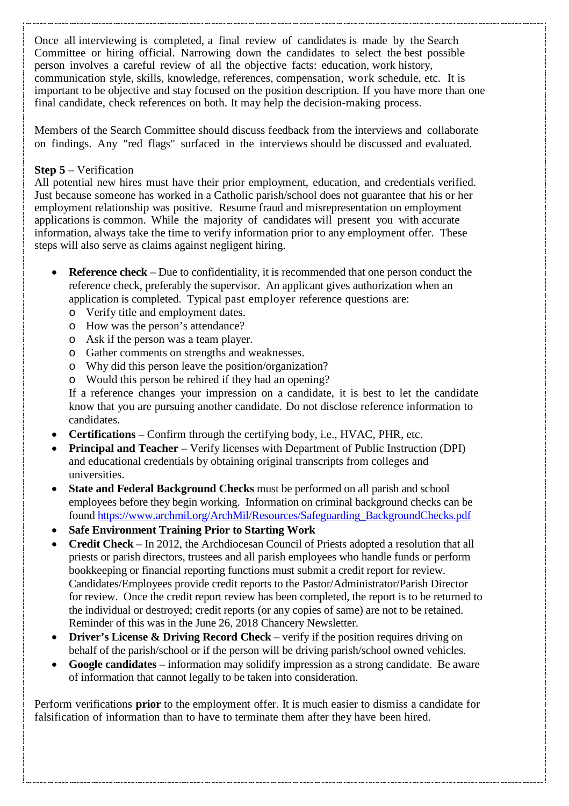Once all interviewing is completed, a final review of candidates is made by the Search Committee or hiring official. Narrowing down the candidates to select the best possible person involves a careful review of all the objective facts: education, work history, communication style, skills, knowledge, references, compensation, work schedule, etc. It is important to be objective and stay focused on the position description. If you have more than one final candidate, check references on both. It may help the decision-making process.

Members of the Search Committee should discuss feedback from the interviews and collaborate on findings. Any "red flags" surfaced in the interviews should be discussed and evaluated.

#### **Step 5** – Verification

All potential new hires must have their prior employment, education, and credentials verified. Just because someone has worked in a Catholic parish/school does not guarantee that his or her employment relationship was positive. Resume fraud and misrepresentation on employment applications is common. While the majority of candidates will present you with accurate information, always take the time to verify information prior to any employment offer. These steps will also serve as claims against negligent hiring.

- **Reference check** Due to confidentiality, it is recommended that one person conduct the reference check, preferably the supervisor. An applicant gives authorization when an application is completed. Typical past employer reference questions are:
	- o Verify title and employment dates.
	- o How was the person's attendance?
	- o Ask if the person was a team player.
	- o Gather comments on strengths and weaknesses.
	- o Why did this person leave the position/organization?
	- o Would this person be rehired if they had an opening?

If a reference changes your impression on a candidate, it is best to let the candidate know that you are pursuing another candidate. Do not disclose reference information to candidates.

- **Certifications**  Confirm through the certifying body, i.e., HVAC, PHR, etc.
- **Principal and Teacher** Verify licenses with Department of Public Instruction (DPI) and educational credentials by obtaining original transcripts from colleges and universities.
- **State and Federal Background Checks** must be performed on all parish and school employees before they begin working. Information on criminal background checks can be found [https://www.archmil.org/ArchMil/Resources/Safeguarding\\_BackgroundChecks.pdf](https://www.archmil.org/ArchMil/Resources/Safeguarding_BackgroundChecks.pdf)
- **Safe Environment Training Prior to Starting Work**
- **Credit Check** In 2012, the Archdiocesan Council of Priests adopted a resolution that all priests or parish directors, trustees and all parish employees who handle funds or perform bookkeeping or financial reporting functions must submit a credit report for review. Candidates/Employees provide credit reports to the Pastor/Administrator/Parish Director for review. Once the credit report review has been completed, the report is to be returned to the individual or destroyed; credit reports (or any copies of same) are not to be retained. Reminder of this was in the June 26, 2018 Chancery Newsletter.
- **Driver's License & Driving Record Check** verify if the position requires driving on behalf of the parish/school or if the person will be driving parish/school owned vehicles.
- **Google candidates** information may solidify impression as a strong candidate. Be aware of information that cannot legally to be taken into consideration.

Perform verifications **prior** to the employment offer. It is much easier to dismiss a candidate for falsification of information than to have to terminate them after they have been hired.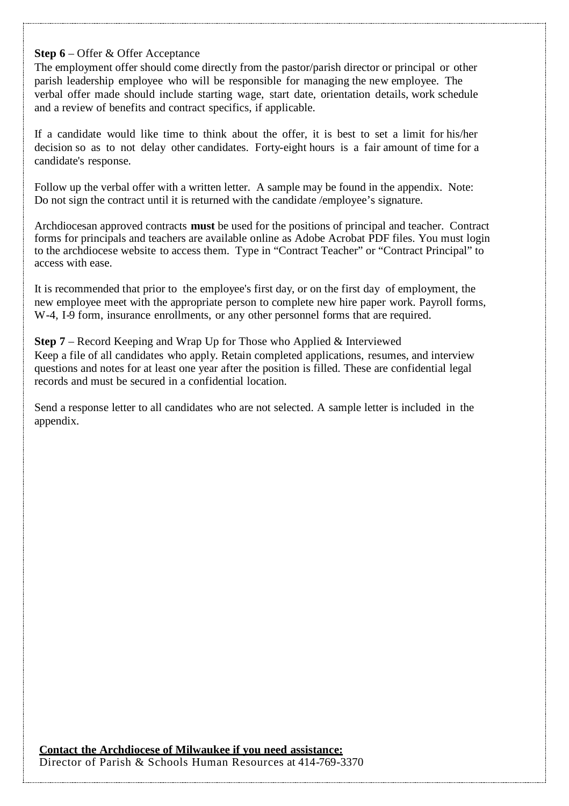#### **Step 6** – Offer & Offer Acceptance

The employment offer should come directly from the pastor/parish director or principal or other parish leadership employee who will be responsible for managing the new employee. The verbal offer made should include starting wage, start date, orientation details, work schedule and a review of benefits and contract specifics, if applicable.

If a candidate would like time to think about the offer, it is best to set a limit for his/her decision so as to not delay other candidates. Forty-eight hours is a fair amount of time for a candidate's response.

Follow up the verbal offer with a written letter. A sample may be found in the appendix. Note: Do not sign the contract until it is returned with the candidate /employee's signature.

Archdiocesan approved contracts **must** be used for the positions of principal and teacher. Contract forms for principals and teachers are available online as Adobe Acrobat PDF files. You must login to the archdiocese website to access them. Type in "Contract Teacher" or "Contract Principal" to access with ease.

It is recommended that prior to the employee's first day, or on the first day of employment, the new employee meet with the appropriate person to complete new hire paper work. Payroll forms, W-4, I-9 form, insurance enrollments, or any other personnel forms that are required.

**Step 7** – Record Keeping and Wrap Up for Those who Applied & Interviewed Keep a file of all candidates who apply. Retain completed applications, resumes, and interview questions and notes for at least one year after the position is filled. These are confidential legal records and must be secured in a confidential location.

Send a response letter to all candidates who are not selected. A sample letter is included in the appendix.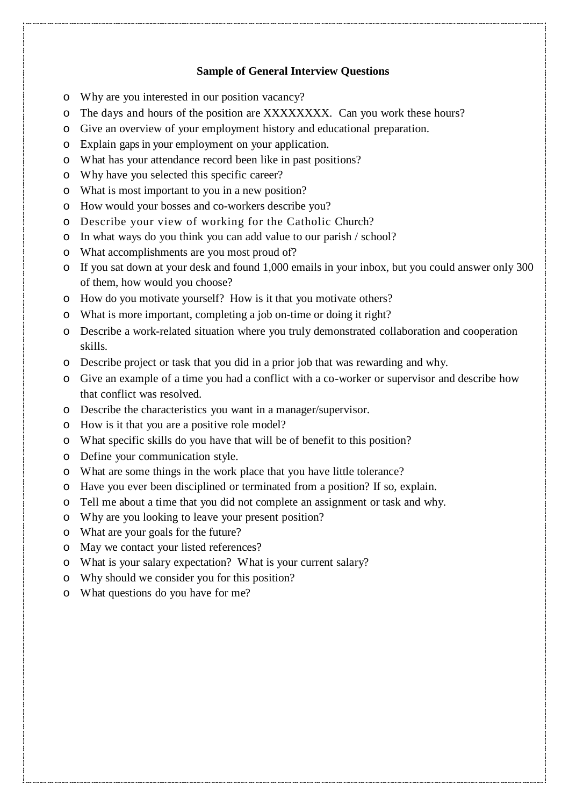#### **Sample of General Interview Questions**

- o Why are you interested in our position vacancy?
- o The days and hours of the position are XXXXXXXX. Can you work these hours?
- o Give an overview of your employment history and educational preparation.
- o Explain gaps in your employment on your application.
- o What has your attendance record been like in past positions?
- o Why have you selected this specific career?
- o What is most important to you in a new position?
- o How would your bosses and co-workers describe you?
- o Describe your view of working for the Catholic Church?
- o In what ways do you think you can add value to our parish / school?
- o What accomplishments are you most proud of?
- o If you sat down at your desk and found 1,000 emails in your inbox, but you could answer only 300 of them, how would you choose?
- o How do you motivate yourself? How is it that you motivate others?
- o What is more important, completing a job on-time or doing it right?
- o Describe a work-related situation where you truly demonstrated collaboration and cooperation skills.
- o Describe project or task that you did in a prior job that was rewarding and why.
- o Give an example of a time you had a conflict with a co-worker or supervisor and describe how that conflict was resolved.
- o Describe the characteristics you want in a manager/supervisor.
- o How is it that you are a positive role model?
- o What specific skills do you have that will be of benefit to this position?
- o Define your communication style.
- o What are some things in the work place that you have little tolerance?
- o Have you ever been disciplined or terminated from a position? If so, explain.
- o Tell me about a time that you did not complete an assignment or task and why.
- o Why are you looking to leave your present position?
- o What are your goals for the future?
- o May we contact your listed references?
- o What is your salary expectation? What is your current salary?
- o Why should we consider you for this position?
- o What questions do you have for me?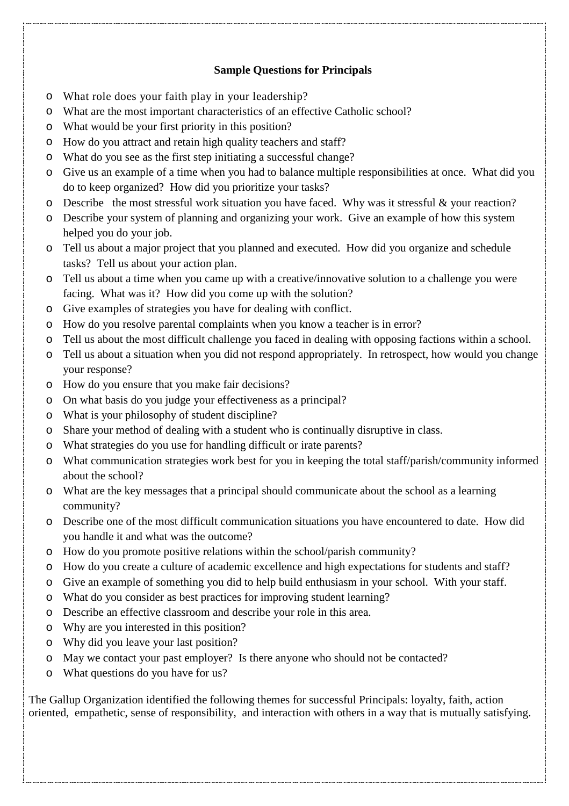## **Sample Questions for Principals**

- o What role does your faith play in your leadership?
- o What are the most important characteristics of an effective Catholic school?
- o What would be your first priority in this position?
- o How do you attract and retain high quality teachers and staff?
- o What do you see as the first step initiating a successful change?
- o Give us an example of a time when you had to balance multiple responsibilities at once. What did you do to keep organized? How did you prioritize your tasks?
- o Describe the most stressful work situation you have faced. Why was it stressful & your reaction?
- o Describe your system of planning and organizing your work. Give an example of how this system helped you do your job.
- o Tell us about a major project that you planned and executed. How did you organize and schedule tasks? Tell us about your action plan.
- o Tell us about a time when you came up with a creative/innovative solution to a challenge you were facing. What was it? How did you come up with the solution?
- o Give examples of strategies you have for dealing with conflict.
- o How do you resolve parental complaints when you know a teacher is in error?
- o Tell us about the most difficult challenge you faced in dealing with opposing factions within a school.
- o Tell us about a situation when you did not respond appropriately. In retrospect, how would you change your response?
- o How do you ensure that you make fair decisions?
- o On what basis do you judge your effectiveness as a principal?
- o What is your philosophy of student discipline?
- o Share your method of dealing with a student who is continually disruptive in class.
- o What strategies do you use for handling difficult or irate parents?
- o What communication strategies work best for you in keeping the total staff/parish/community informed about the school?
- o What are the key messages that a principal should communicate about the school as a learning community?
- o Describe one of the most difficult communication situations you have encountered to date. How did you handle it and what was the outcome?
- o How do you promote positive relations within the school/parish community?
- o How do you create a culture of academic excellence and high expectations for students and staff?
- o Give an example of something you did to help build enthusiasm in your school. With your staff.
- o What do you consider as best practices for improving student learning?
- o Describe an effective classroom and describe your role in this area.
- o Why are you interested in this position?
- o Why did you leave your last position?
- o May we contact your past employer? Is there anyone who should not be contacted?
- What questions do you have for us?

The Gallup Organization identified the following themes for successful Principals: loyalty, faith, action oriented, empathetic, sense of responsibility, and interaction with others in a way that is mutually satisfying.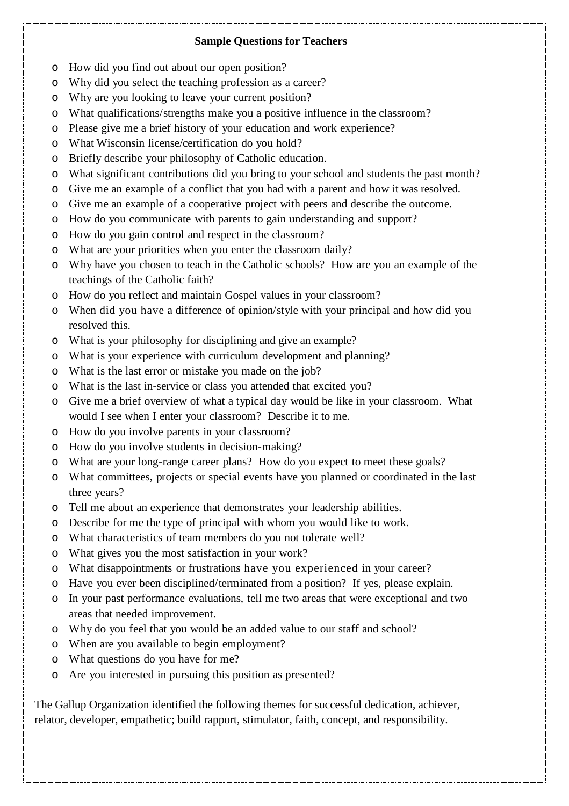## **Sample Questions for Teachers**

- o How did you find out about our open position?
- o Why did you select the teaching profession as a career?
- o Why are you looking to leave your current position?
- o What qualifications/strengths make you a positive influence in the classroom?
- o Please give me a brief history of your education and work experience?
- o What Wisconsin license/certification do you hold?
- o Briefly describe your philosophy of Catholic education.
- o What significant contributions did you bring to your school and students the past month?
- o Give me an example of a conflict that you had with a parent and how it was resolved.
- o Give me an example of a cooperative project with peers and describe the outcome.
- o How do you communicate with parents to gain understanding and support?
- o How do you gain control and respect in the classroom?
- o What are your priorities when you enter the classroom daily?
- o Why have you chosen to teach in the Catholic schools? How are you an example of the teachings of the Catholic faith?
- o How do you reflect and maintain Gospel values in your classroom?
- o When did you have a difference of opinion/style with your principal and how did you resolved this.
- o What is your philosophy for disciplining and give an example?
- o What is your experience with curriculum development and planning?
- o What is the last error or mistake you made on the job?
- o What is the last in-service or class you attended that excited you?
- o Give me a brief overview of what a typical day would be like in your classroom. What would I see when I enter your classroom? Describe it to me.
- o How do you involve parents in your classroom?
- o How do you involve students in decision-making?
- o What are your long-range career plans? How do you expect to meet these goals?
- o What committees, projects or special events have you planned or coordinated in the last three years?
- o Tell me about an experience that demonstrates your leadership abilities.
- o Describe for me the type of principal with whom you would like to work.
- o What characteristics of team members do you not tolerate well?
- o What gives you the most satisfaction in your work?
- o What disappointments or frustrations have you experienced in your career?
- o Have you ever been disciplined/terminated from a position? If yes, please explain.
- o In your past performance evaluations, tell me two areas that were exceptional and two areas that needed improvement.
- o Why do you feel that you would be an added value to our staff and school?
- o When are you available to begin employment?
- o What questions do you have for me?
- o Are you interested in pursuing this position as presented?

The Gallup Organization identified the following themes for successful dedication, achiever, relator, developer, empathetic; build rapport, stimulator, faith, concept, and responsibility.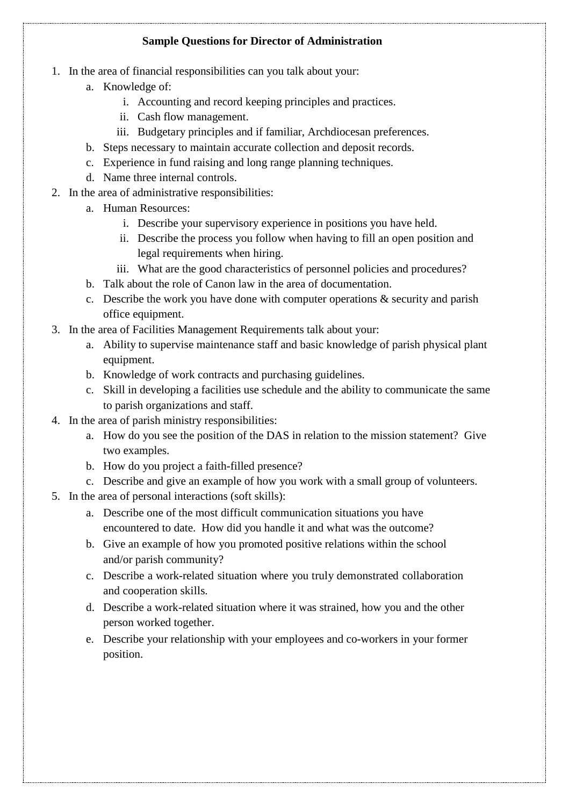## **Sample Questions for Director of Administration**

- 1. In the area of financial responsibilities can you talk about your:
	- a. Knowledge of:
		- i. Accounting and record keeping principles and practices.
		- ii. Cash flow management.
		- iii. Budgetary principles and if familiar, Archdiocesan preferences.
	- b. Steps necessary to maintain accurate collection and deposit records.
	- c. Experience in fund raising and long range planning techniques.
	- d. Name three internal controls.
- 2. In the area of administrative responsibilities:
	- a. Human Resources:
		- i. Describe your supervisory experience in positions you have held.
		- ii. Describe the process you follow when having to fill an open position and legal requirements when hiring.
		- iii. What are the good characteristics of personnel policies and procedures?
	- b. Talk about the role of Canon law in the area of documentation.
	- c. Describe the work you have done with computer operations & security and parish office equipment.
- 3. In the area of Facilities Management Requirements talk about your:
	- a. Ability to supervise maintenance staff and basic knowledge of parish physical plant equipment.
	- b. Knowledge of work contracts and purchasing guidelines.
	- c. Skill in developing a facilities use schedule and the ability to communicate the same to parish organizations and staff.
- 4. In the area of parish ministry responsibilities:
	- a. How do you see the position of the DAS in relation to the mission statement? Give two examples.
	- b. How do you project a faith-filled presence?
	- c. Describe and give an example of how you work with a small group of volunteers.
- 5. In the area of personal interactions (soft skills):
	- a. Describe one of the most difficult communication situations you have encountered to date. How did you handle it and what was the outcome?
	- b. Give an example of how you promoted positive relations within the school and/or parish community?
	- c. Describe a work-related situation where you truly demonstrated collaboration and cooperation skills.
	- d. Describe a work-related situation where it was strained, how you and the other person worked together.
	- e. Describe your relationship with your employees and co-workers in your former position.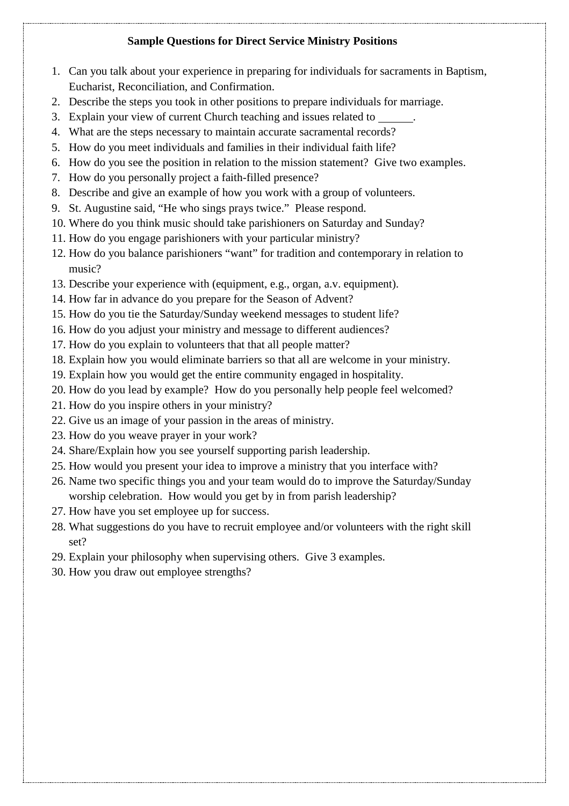# **Sample Questions for Direct Service Ministry Positions**

- 1. Can you talk about your experience in preparing for individuals for sacraments in Baptism, Eucharist, Reconciliation, and Confirmation.
- 2. Describe the steps you took in other positions to prepare individuals for marriage.
- 3. Explain your view of current Church teaching and issues related to .
- 4. What are the steps necessary to maintain accurate sacramental records?
- 5. How do you meet individuals and families in their individual faith life?
- 6. How do you see the position in relation to the mission statement? Give two examples.
- 7. How do you personally project a faith-filled presence?
- 8. Describe and give an example of how you work with a group of volunteers.
- 9. St. Augustine said, "He who sings prays twice." Please respond.
- 10. Where do you think music should take parishioners on Saturday and Sunday?
- 11. How do you engage parishioners with your particular ministry?
- 12. How do you balance parishioners "want" for tradition and contemporary in relation to music?
- 13. Describe your experience with (equipment, e.g., organ, a.v. equipment).
- 14. How far in advance do you prepare for the Season of Advent?
- 15. How do you tie the Saturday/Sunday weekend messages to student life?
- 16. How do you adjust your ministry and message to different audiences?
- 17. How do you explain to volunteers that that all people matter?
- 18. Explain how you would eliminate barriers so that all are welcome in your ministry.
- 19. Explain how you would get the entire community engaged in hospitality.
- 20. How do you lead by example? How do you personally help people feel welcomed?
- 21. How do you inspire others in your ministry?
- 22. Give us an image of your passion in the areas of ministry.
- 23. How do you weave prayer in your work?
- 24. Share/Explain how you see yourself supporting parish leadership.
- 25. How would you present your idea to improve a ministry that you interface with?
- 26. Name two specific things you and your team would do to improve the Saturday/Sunday worship celebration. How would you get by in from parish leadership?
- 27. How have you set employee up for success.
- 28. What suggestions do you have to recruit employee and/or volunteers with the right skill set?
- 29. Explain your philosophy when supervising others. Give 3 examples.
- 30. How you draw out employee strengths?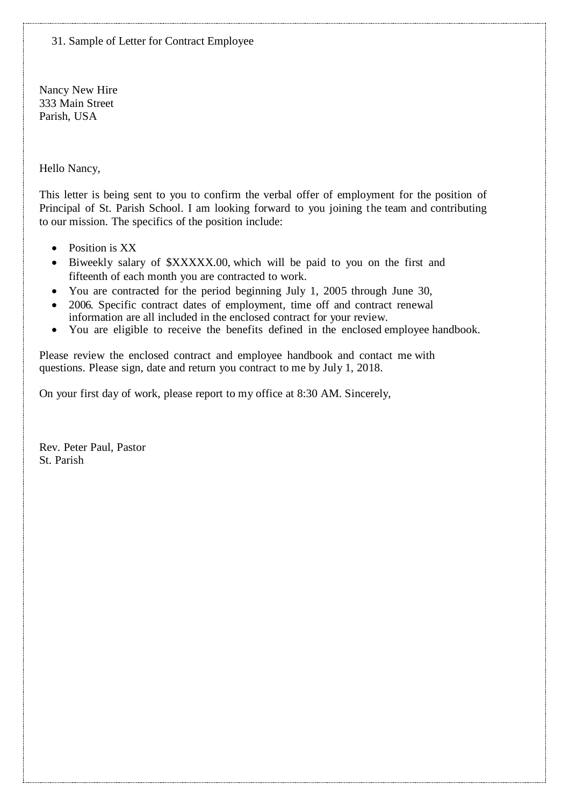31. Sample of Letter for Contract Employee

Nancy New Hire 333 Main Street Parish, USA

Hello Nancy,

This letter is being sent to you to confirm the verbal offer of employment for the position of Principal of St. Parish School. I am looking forward to you joining the team and contributing to our mission. The specifics of the position include:

- Position is XX
- Biweekly salary of \$XXXXX.00, which will be paid to you on the first and fifteenth of each month you are contracted to work.
- You are contracted for the period beginning July 1, 2005 through June 30,
- 2006. Specific contract dates of employment, time off and contract renewal information are all included in the enclosed contract for your review.
- You are eligible to receive the benefits defined in the enclosed employee handbook.

Please review the enclosed contract and employee handbook and contact me with questions. Please sign, date and return you contract to me by July 1, 2018.

On your first day of work, please report to my office at 8:30 AM. Sincerely,

Rev. Peter Paul, Pastor St. Parish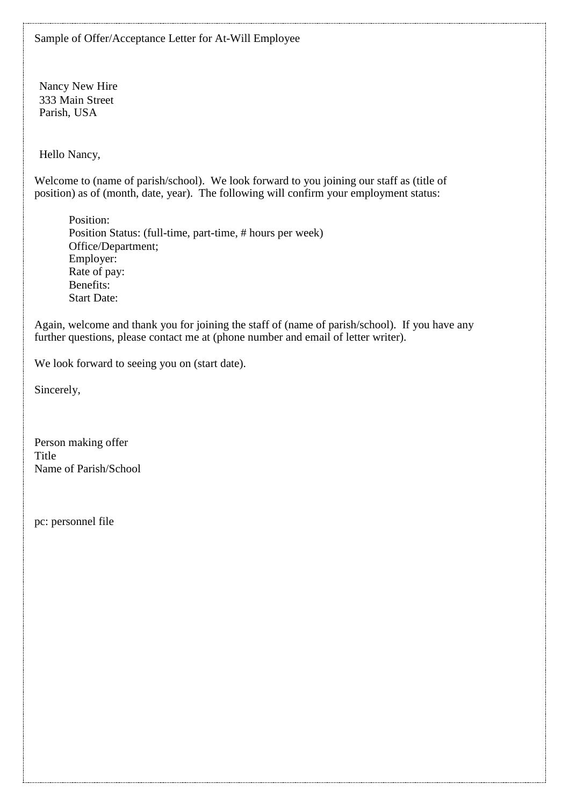Nancy New Hire 333 Main Street Parish, USA

Hello Nancy,

Welcome to (name of parish/school). We look forward to you joining our staff as (title of position) as of (month, date, year). The following will confirm your employment status:

Position: Position Status: (full-time, part-time, # hours per week) Office/Department; Employer: Rate of pay: Benefits: Start Date:

Again, welcome and thank you for joining the staff of (name of parish/school). If you have any further questions, please contact me at (phone number and email of letter writer).

We look forward to seeing you on (start date).

Sincerely,

Person making offer Title Name of Parish/School

pc: personnel file